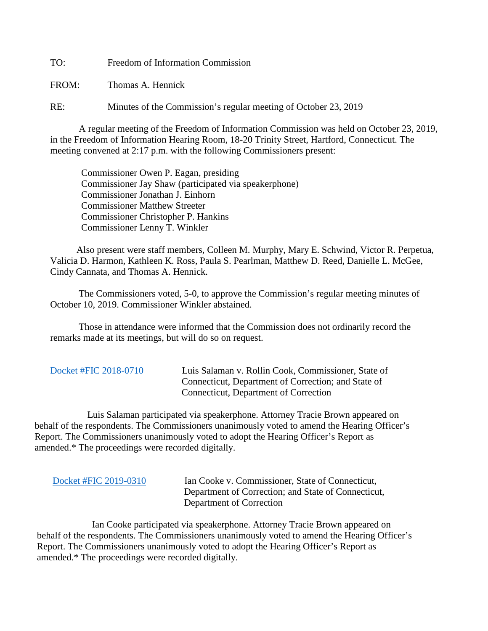TO: Freedom of Information Commission

FROM: Thomas A. Hennick

RE: Minutes of the Commission's regular meeting of October 23, 2019

A regular meeting of the Freedom of Information Commission was held on October 23, 2019, in the Freedom of Information Hearing Room, 18-20 Trinity Street, Hartford, Connecticut. The meeting convened at 2:17 p.m. with the following Commissioners present:

 Commissioner Owen P. Eagan, presiding Commissioner Jay Shaw (participated via speakerphone) Commissioner Jonathan J. Einhorn Commissioner Matthew Streeter Commissioner Christopher P. Hankins Commissioner Lenny T. Winkler

 Also present were staff members, Colleen M. Murphy, Mary E. Schwind, Victor R. Perpetua, Valicia D. Harmon, Kathleen K. Ross, Paula S. Pearlman, Matthew D. Reed, Danielle L. McGee, Cindy Cannata, and Thomas A. Hennick.

The Commissioners voted, 5-0, to approve the Commission's regular meeting minutes of October 10, 2019. Commissioner Winkler abstained.

 Those in attendance were informed that the Commission does not ordinarily record the remarks made at its meetings, but will do so on request.

|  | Docket #FIC 2018-0710 |
|--|-----------------------|
|--|-----------------------|

Luis Salaman v. Rollin Cook, Commissioner, State of Connecticut, Department of Correction; and State of Connecticut, Department of Correction

 Luis Salaman participated via speakerphone. Attorney Tracie Brown appeared on behalf of the respondents. The Commissioners unanimously voted to amend the Hearing Officer's Report. The Commissioners unanimously voted to adopt the Hearing Officer's Report as amended.\* The proceedings were recorded digitally.

Ian Cooke v. Commissioner, State of Connecticut, Department of Correction; and State of Connecticut, Department of Correction

 Ian Cooke participated via speakerphone. Attorney Tracie Brown appeared on behalf of the respondents. The Commissioners unanimously voted to amend the Hearing Officer's Report. The Commissioners unanimously voted to adopt the Hearing Officer's Report as amended.\* The proceedings were recorded digitally.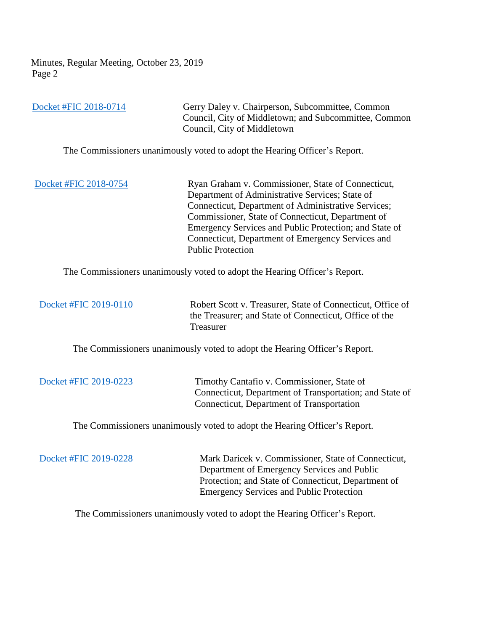Minutes, Regular Meeting, October 23, 2019 Page 2

[Docket #FIC 2018-0714](https://portal.ct.gov/-/media/FOI/FinalDecisions/2019/Oct23/2018-0714.pdf?la=en) Gerry Daley v. Chairperson, Subcommittee, Common Council, City of Middletown; and Subcommittee, Common Council, City of Middletown The Commissioners unanimously voted to adopt the Hearing Officer's Report.

[Docket #FIC 2018-0754](https://portal.ct.gov/-/media/FOI/FinalDecisions/2019/Oct23/2018-0754.pdf?la=en) Ryan Graham v. Commissioner, State of Connecticut, Department of Administrative Services; State of Connecticut, Department of Administrative Services; Commissioner, State of Connecticut, Department of Emergency Services and Public Protection; and State of Connecticut, Department of Emergency Services and Public Protection

The Commissioners unanimously voted to adopt the Hearing Officer's Report.

 [Docket #FIC 2019-0110](https://portal.ct.gov/-/media/FOI/FinalDecisions/2019/Oct23/2019-0110.pdf?la=en) Robert Scott v. Treasurer, State of Connecticut, Office of the Treasurer; and State of Connecticut, Office of the Treasurer

The Commissioners unanimously voted to adopt the Hearing Officer's Report.

 [Docket #FIC 2019-0223](https://portal.ct.gov/-/media/FOI/FinalDecisions/2019/Oct23/2019-0223.pdf?la=en) Timothy Cantafio v. Commissioner, State of Connecticut, Department of Transportation; and State of Connecticut, Department of Transportation

The Commissioners unanimously voted to adopt the Hearing Officer's Report.

 [Docket #FIC 2019-0228](https://portal.ct.gov/-/media/FOI/FinalDecisions/2019/Oct23/2019-0228.pdf?la=en) Mark Daricek v. Commissioner, State of Connecticut, Department of Emergency Services and Public Protection; and State of Connecticut, Department of Emergency Services and Public Protection

The Commissioners unanimously voted to adopt the Hearing Officer's Report.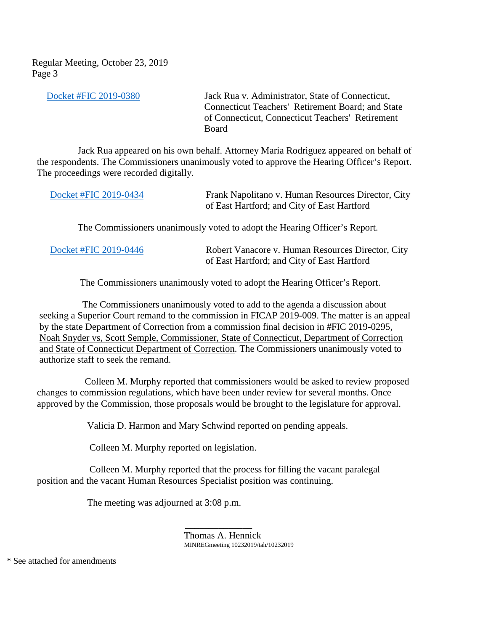Regular Meeting, October 23, 2019 Page 3

 [Docket #FIC 2019-0380](https://portal.ct.gov/-/media/FOI/FinalDecisions/2019/Oct23/2019-0380.pdf?la=en) Jack Rua v. Administrator, State of Connecticut, Connecticut Teachers' Retirement Board; and State of Connecticut, Connecticut Teachers' Retirement **Board** 

 Jack Rua appeared on his own behalf. Attorney Maria Rodriguez appeared on behalf of the respondents. The Commissioners unanimously voted to approve the Hearing Officer's Report. The proceedings were recorded digitally.

| Docket #FIC 2019-0434 | Frank Napolitano v. Human Resources Director, City |
|-----------------------|----------------------------------------------------|
|                       | of East Hartford; and City of East Hartford        |

The Commissioners unanimously voted to adopt the Hearing Officer's Report.

| Docket #FIC 2019-0446 | Robert Vanacore v. Human Resources Director, City |
|-----------------------|---------------------------------------------------|
|                       | of East Hartford; and City of East Hartford       |

The Commissioners unanimously voted to adopt the Hearing Officer's Report.

 The Commissioners unanimously voted to add to the agenda a discussion about seeking a Superior Court remand to the commission in FICAP 2019-009. The matter is an appeal by the state Department of Correction from a commission final decision in #FIC 2019-0295, Noah Snyder vs, Scott Semple, Commissioner, State of Connecticut, Department of Correction and State of Connecticut Department of Correction. The Commissioners unanimously voted to authorize staff to seek the remand.

 Colleen M. Murphy reported that commissioners would be asked to review proposed changes to commission regulations, which have been under review for several months. Once approved by the Commission, those proposals would be brought to the legislature for approval.

Valicia D. Harmon and Mary Schwind reported on pending appeals.

Colleen M. Murphy reported on legislation.

 Colleen M. Murphy reported that the process for filling the vacant paralegal position and the vacant Human Resources Specialist position was continuing.

The meeting was adjourned at 3:08 p.m.

 $\mathcal{L}_\text{max}$  , which is a set of the set of the set of the set of the set of the set of the set of the set of the set of the set of the set of the set of the set of the set of the set of the set of the set of the set of

Thomas A. Hennick MINREGmeeting 10232019/tah/10232019

\* See attached for amendments